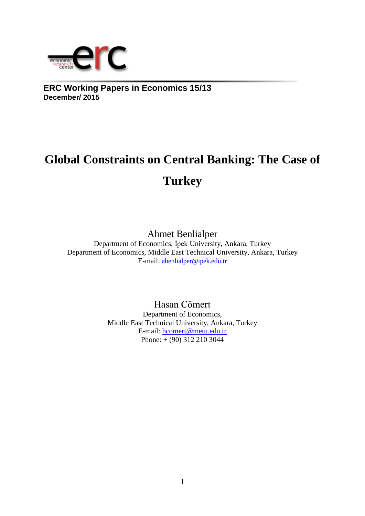

**ERC Working Papers in Economics 15/13 December/ 2015**

# **Global Constraints on Central Banking: The Case of Turkey**

Ahmet Benlialper

Department of Economics, İpek University, Ankara, Turkey Department of Economics, Middle East Technical University, Ankara, Turkey E-mail: [abenlialper@ipek.edu.tr](mailto:abenlialper@ipek.edu.tr)

> Hasan Cömert Department of Economics, Middle East Technical University, Ankara, Turkey E-mail: [hcomert@metu.edu.tr](mailto:hcomert@metu.edu.tr) Phone: + (90) 312 210 3044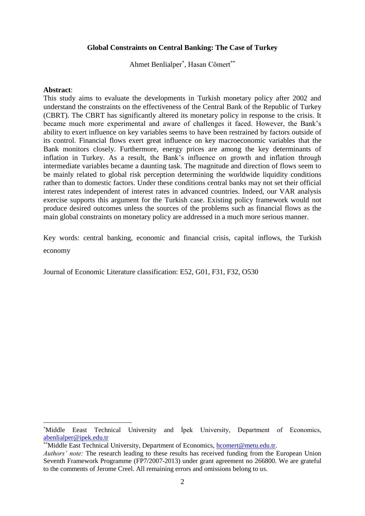# **Global Constraints on Central Banking: The Case of Turkey**

Ahmet Benlialper<sup>\*</sup>, Hasan Cömert<sup>\*\*</sup>

## **Abstract**:

<u>.</u>

This study aims to evaluate the developments in Turkish monetary policy after 2002 and understand the constraints on the effectiveness of the Central Bank of the Republic of Turkey (CBRT). The CBRT has significantly altered its monetary policy in response to the crisis. It became much more experimental and aware of challenges it faced. However, the Bank's ability to exert influence on key variables seems to have been restrained by factors outside of its control. Financial flows exert great influence on key macroeconomic variables that the Bank monitors closely. Furthermore, energy prices are among the key determinants of inflation in Turkey. As a result, the Bank's influence on growth and inflation through intermediate variables became a daunting task. The magnitude and direction of flows seem to be mainly related to global risk perception determining the worldwide liquidity conditions rather than to domestic factors. Under these conditions central banks may not set their official interest rates independent of interest rates in advanced countries. Indeed, our VAR analysis exercise supports this argument for the Turkish case. Existing policy framework would not produce desired outcomes unless the sources of the problems such as financial flows as the main global constraints on monetary policy are addressed in a much more serious manner.

Key words: central banking, economic and financial crisis, capital inflows, the Turkish economy

Journal of Economic Literature classification: E52, G01, F31, F32, O530

<sup>\*</sup>Middle Eeast Technical University and İpek University, Department of Economics, [abenlialper@ipek.edu.tr](mailto:abenlialper@ipek.edu.tr)

<sup>\*\*</sup>Middle East Technical University, Department of Economics, [hcomert@metu.edu.tr.](mailto:hcomert@metu.edu.tr)

*Authors' note:* The research leading to these results has received funding from the European Union Seventh Framework Programme (FP7/2007-2013) under grant agreement no 266800. We are grateful to the comments of Jerome Creel. All remaining errors and omissions belong to us.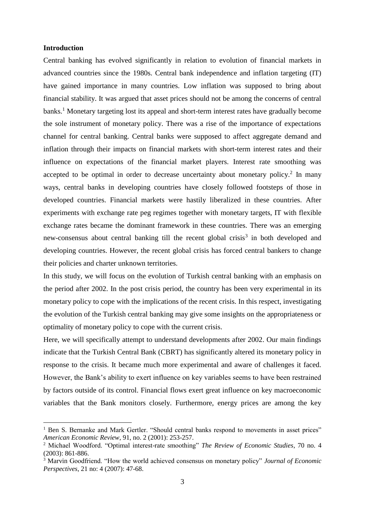## **Introduction**

<u>.</u>

Central banking has evolved significantly in relation to evolution of financial markets in advanced countries since the 1980s. Central bank independence and inflation targeting (IT) have gained importance in many countries. Low inflation was supposed to bring about financial stability. It was argued that asset prices should not be among the concerns of central banks.<sup>1</sup> Monetary targeting lost its appeal and short-term interest rates have gradually become the sole instrument of monetary policy. There was a rise of the importance of expectations channel for central banking. Central banks were supposed to affect aggregate demand and inflation through their impacts on financial markets with short-term interest rates and their influence on expectations of the financial market players. Interest rate smoothing was accepted to be optimal in order to decrease uncertainty about monetary policy.<sup>2</sup> In many ways, central banks in developing countries have closely followed footsteps of those in developed countries. Financial markets were hastily liberalized in these countries. After experiments with exchange rate peg regimes together with monetary targets, IT with flexible exchange rates became the dominant framework in these countries. There was an emerging new-consensus about central banking till the recent global crisis<sup>3</sup> in both developed and developing countries. However, the recent global crisis has forced central bankers to change their policies and charter unknown territories.

In this study, we will focus on the evolution of Turkish central banking with an emphasis on the period after 2002. In the post crisis period, the country has been very experimental in its monetary policy to cope with the implications of the recent crisis. In this respect, investigating the evolution of the Turkish central banking may give some insights on the appropriateness or optimality of monetary policy to cope with the current crisis.

Here, we will specifically attempt to understand developments after 2002. Our main findings indicate that the Turkish Central Bank (CBRT) has significantly altered its monetary policy in response to the crisis. It became much more experimental and aware of challenges it faced. However, the Bank's ability to exert influence on key variables seems to have been restrained by factors outside of its control. Financial flows exert great influence on key macroeconomic variables that the Bank monitors closely. Furthermore, energy prices are among the key

<sup>&</sup>lt;sup>1</sup> Ben S. Bernanke and Mark Gertler. "Should central banks respond to movements in asset prices" *American Economic Review*, 91, no. 2 (2001): 253-257.

<sup>2</sup> Michael Woodford. "Optimal interest-rate smoothing" *The Review of Economic Studies*, 70 no. 4 (2003): 861-886.

<sup>3</sup> Marvin Goodfriend. "How the world achieved consensus on monetary policy" *Journal of Economic Perspectives*, 21 no: 4 (2007): 47-68.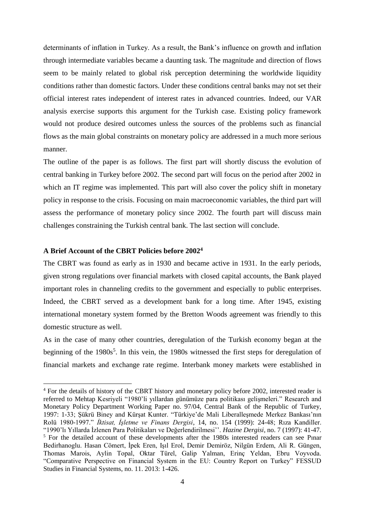determinants of inflation in Turkey. As a result, the Bank's influence on growth and inflation through intermediate variables became a daunting task. The magnitude and direction of flows seem to be mainly related to global risk perception determining the worldwide liquidity conditions rather than domestic factors. Under these conditions central banks may not set their official interest rates independent of interest rates in advanced countries. Indeed, our VAR analysis exercise supports this argument for the Turkish case. Existing policy framework would not produce desired outcomes unless the sources of the problems such as financial flows as the main global constraints on monetary policy are addressed in a much more serious manner.

The outline of the paper is as follows. The first part will shortly discuss the evolution of central banking in Turkey before 2002. The second part will focus on the period after 2002 in which an IT regime was implemented. This part will also cover the policy shift in monetary policy in response to the crisis. Focusing on main macroeconomic variables, the third part will assess the performance of monetary policy since 2002. The fourth part will discuss main challenges constraining the Turkish central bank. The last section will conclude.

# **A Brief Account of the CBRT Policies before 2002<sup>4</sup>**

1

The CBRT was found as early as in 1930 and became active in 1931. In the early periods, given strong regulations over financial markets with closed capital accounts, the Bank played important roles in channeling credits to the government and especially to public enterprises. Indeed, the CBRT served as a development bank for a long time. After 1945, existing international monetary system formed by the Bretton Woods agreement was friendly to this domestic structure as well.

As in the case of many other countries, deregulation of the Turkish economy began at the beginning of the  $1980s^5$ . In this vein, the 1980s witnessed the first steps for deregulation of financial markets and exchange rate regime. Interbank money markets were established in

<sup>&</sup>lt;sup>4</sup> For the details of history of the CBRT history and monetary policy before 2002, interested reader is referred to Mehtap Kesriyeli "1980'li yıllardan günümüze para politikası gelişmeleri." Research and Monetary Policy Department Working Paper no. 97/04, Central Bank of the Republic of Turkey, 1997: 1-33; Şükrü Biney and Kürşat Kunter. "Türkiye'de Mali Liberalleşmede Merkez Bankası'nın Rolü 1980-1997." *İktisat, İşletme ve Finans Dergisi*, 14, no. 154 (1999): 24-48; Rıza Kandiller. "1990'lı Yıllarda İzlenen Para Politikaları ve Değerlendirilmesi''. *Hazine Dergisi*, no. 7 (1997): 41-47. <sup>5</sup> For the detailed account of these developments after the 1980s interested readers can see Pinar Bedirhanoglu. Hasan Cömert, İpek Eren, Işıl Erol, Demir Demiröz, Nilgün Erdem, Ali R. Güngen, Thomas Marois, Aylin Topal, Oktar Türel, Galip Yalman, Erinç Yeldan, Ebru Voyvoda. "Comparative Perspective on Financial System in the EU: Country Report on Turkey" FESSUD Studies in Financial Systems, no. 11. 2013: 1-426.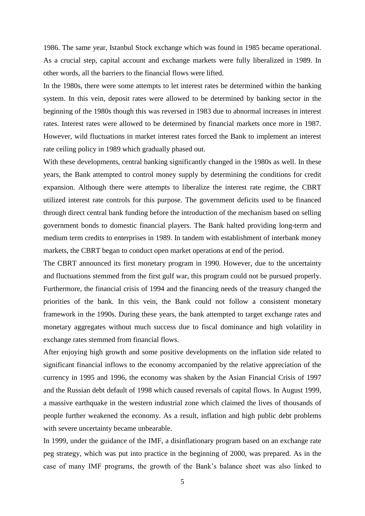1986. The same year, Istanbul Stock exchange which was found in 1985 became operational. As a crucial step, capital account and exchange markets were fully liberalized in 1989. In other words, all the barriers to the financial flows were lifted.

In the 1980s, there were some attempts to let interest rates be determined within the banking system. In this vein, deposit rates were allowed to be determined by banking sector in the beginning of the 1980s though this was reversed in 1983 due to abnormal increases in interest rates. Interest rates were allowed to be determined by financial markets once more in 1987. However, wild fluctuations in market interest rates forced the Bank to implement an interest rate ceiling policy in 1989 which gradually phased out.

With these developments, central banking significantly changed in the 1980s as well. In these years, the Bank attempted to control money supply by determining the conditions for credit expansion. Although there were attempts to liberalize the interest rate regime, the CBRT utilized interest rate controls for this purpose. The government deficits used to be financed through direct central bank funding before the introduction of the mechanism based on selling government bonds to domestic financial players. The Bank halted providing long-term and medium term credits to enterprises in 1989. In tandem with establishment of interbank money markets, the CBRT began to conduct open market operations at end of the period.

The CBRT announced its first monetary program in 1990. However, due to the uncertainty and fluctuations stemmed from the first gulf war, this program could not be pursued properly. Furthermore, the financial crisis of 1994 and the financing needs of the treasury changed the priorities of the bank. In this vein, the Bank could not follow a consistent monetary framework in the 1990s. During these years, the bank attempted to target exchange rates and monetary aggregates without much success due to fiscal dominance and high volatility in exchange rates stemmed from financial flows.

After enjoying high growth and some positive developments on the inflation side related to significant financial inflows to the economy accompanied by the relative appreciation of the currency in 1995 and 1996, the economy was shaken by the Asian Financial Crisis of 1997 and the Russian debt default of 1998 which caused reversals of capital flows. In August 1999, a massive earthquake in the western industrial zone which claimed the lives of thousands of people further weakened the economy. As a result, inflation and high public debt problems with severe uncertainty became unbearable.

In 1999, under the guidance of the IMF, a disinflationary program based on an exchange rate peg strategy, which was put into practice in the beginning of 2000, was prepared. As in the case of many IMF programs, the growth of the Bank's balance sheet was also linked to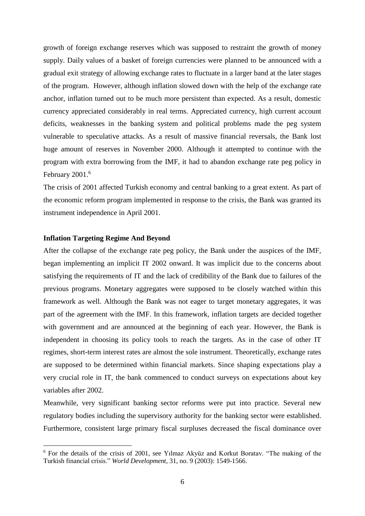growth of foreign exchange reserves which was supposed to restraint the growth of money supply. Daily values of a basket of foreign currencies were planned to be announced with a gradual exit strategy of allowing exchange rates to fluctuate in a larger band at the later stages of the program. However, although inflation slowed down with the help of the exchange rate anchor, inflation turned out to be much more persistent than expected. As a result, domestic currency appreciated considerably in real terms. Appreciated currency, high current account deficits, weaknesses in the banking system and political problems made the peg system vulnerable to speculative attacks. As a result of massive financial reversals, the Bank lost huge amount of reserves in November 2000. Although it attempted to continue with the program with extra borrowing from the IMF, it had to abandon exchange rate peg policy in February 2001.<sup>6</sup>

The crisis of 2001 affected Turkish economy and central banking to a great extent. As part of the economic reform program implemented in response to the crisis, the Bank was granted its instrument independence in April 2001.

# **Inflation Targeting Regime And Beyond**

<u>.</u>

After the collapse of the exchange rate peg policy, the Bank under the auspices of the IMF, began implementing an implicit IT 2002 onward. It was implicit due to the concerns about satisfying the requirements of IT and the lack of credibility of the Bank due to failures of the previous programs. Monetary aggregates were supposed to be closely watched within this framework as well. Although the Bank was not eager to target monetary aggregates, it was part of the agreement with the IMF. In this framework, inflation targets are decided together with government and are announced at the beginning of each year. However, the Bank is independent in choosing its policy tools to reach the targets. As in the case of other IT regimes, short-term interest rates are almost the sole instrument. Theoretically, exchange rates are supposed to be determined within financial markets. Since shaping expectations play a very crucial role in IT, the bank commenced to conduct surveys on expectations about key variables after 2002.

Meanwhile, very significant banking sector reforms were put into practice. Several new regulatory bodies including the supervisory authority for the banking sector were established. Furthermore, consistent large primary fiscal surpluses decreased the fiscal dominance over

<sup>6</sup> For the details of the crisis of 2001, see Yılmaz Akyüz and Korkut Boratav. "The making of the Turkish financial crisis." *World Development*, 31, no. 9 (2003): 1549-1566.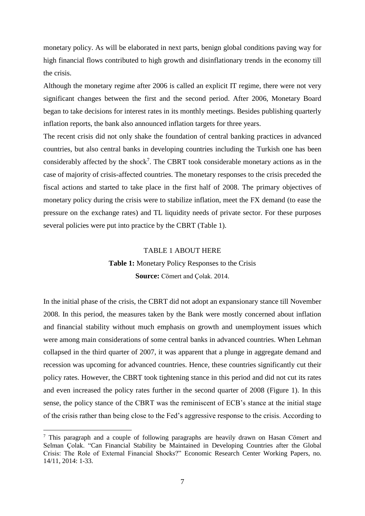monetary policy. As will be elaborated in next parts, benign global conditions paving way for high financial flows contributed to high growth and disinflationary trends in the economy till the crisis.

Although the monetary regime after 2006 is called an explicit IT regime, there were not very significant changes between the first and the second period. After 2006, Monetary Board began to take decisions for interest rates in its monthly meetings. Besides publishing quarterly inflation reports, the bank also announced inflation targets for three years.

The recent crisis did not only shake the foundation of central banking practices in advanced countries, but also central banks in developing countries including the Turkish one has been considerably affected by the shock<sup>7</sup>. The CBRT took considerable monetary actions as in the case of majority of crisis-affected countries. The monetary responses to the crisis preceded the fiscal actions and started to take place in the first half of 2008. The primary objectives of monetary policy during the crisis were to stabilize inflation, meet the FX demand (to ease the pressure on the exchange rates) and TL liquidity needs of private sector. For these purposes several policies were put into practice by the CBRT (Table 1).

## TABLE 1 ABOUT HERE

**Table 1:** Monetary Policy Responses to the Crisis **Source:** Cömert and Çolak. 2014.

In the initial phase of the crisis, the CBRT did not adopt an expansionary stance till November 2008. In this period, the measures taken by the Bank were mostly concerned about inflation and financial stability without much emphasis on growth and unemployment issues which were among main considerations of some central banks in advanced countries. When Lehman collapsed in the third quarter of 2007, it was apparent that a plunge in aggregate demand and recession was upcoming for advanced countries. Hence, these countries significantly cut their policy rates. However, the CBRT took tightening stance in this period and did not cut its rates and even increased the policy rates further in the second quarter of 2008 (Figure 1). In this sense, the policy stance of the CBRT was the reminiscent of ECB's stance at the initial stage of the crisis rather than being close to the Fed's aggressive response to the crisis. According to

<sup>7</sup> This paragraph and a couple of following paragraphs are heavily drawn on Hasan Cömert and Selman Çolak. "Can Financial Stability be Maintained in Developing Countries after the Global Crisis: The Role of External Financial Shocks?" Economic Research Center Working Papers, no. 14/11, 2014: 1-33.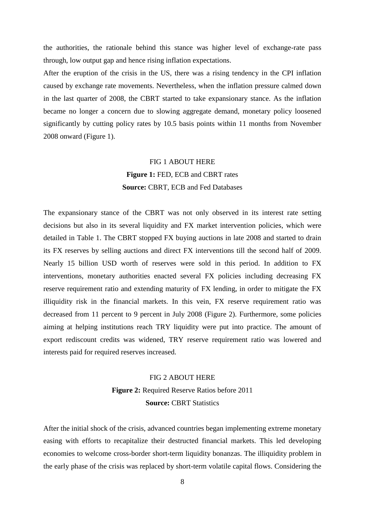the authorities, the rationale behind this stance was higher level of exchange-rate pass through, low output gap and hence rising inflation expectations.

After the eruption of the crisis in the US, there was a rising tendency in the CPI inflation caused by exchange rate movements. Nevertheless, when the inflation pressure calmed down in the last quarter of 2008, the CBRT started to take expansionary stance. As the inflation became no longer a concern due to slowing aggregate demand, monetary policy loosened significantly by cutting policy rates by 10.5 basis points within 11 months from November 2008 onward (Figure 1).

# FIG 1 ABOUT HERE **Figure 1:** FED, ECB and CBRT rates **Source: CBRT, ECB and Fed Databases**

The expansionary stance of the CBRT was not only observed in its interest rate setting decisions but also in its several liquidity and FX market intervention policies, which were detailed in Table 1. The CBRT stopped FX buying auctions in late 2008 and started to drain its FX reserves by selling auctions and direct FX interventions till the second half of 2009. Nearly 15 billion USD worth of reserves were sold in this period. In addition to FX interventions, monetary authorities enacted several FX policies including decreasing FX reserve requirement ratio and extending maturity of FX lending, in order to mitigate the FX illiquidity risk in the financial markets. In this vein, FX reserve requirement ratio was decreased from 11 percent to 9 percent in July 2008 (Figure 2). Furthermore, some policies aiming at helping institutions reach TRY liquidity were put into practice. The amount of export rediscount credits was widened, TRY reserve requirement ratio was lowered and interests paid for required reserves increased.

# FIG 2 ABOUT HERE **Figure 2:** Required Reserve Ratios before 2011 **Source: CBRT Statistics**

After the initial shock of the crisis, advanced countries began implementing extreme monetary easing with efforts to recapitalize their destructed financial markets. This led developing economies to welcome cross-border short-term liquidity bonanzas. The illiquidity problem in the early phase of the crisis was replaced by short-term volatile capital flows. Considering the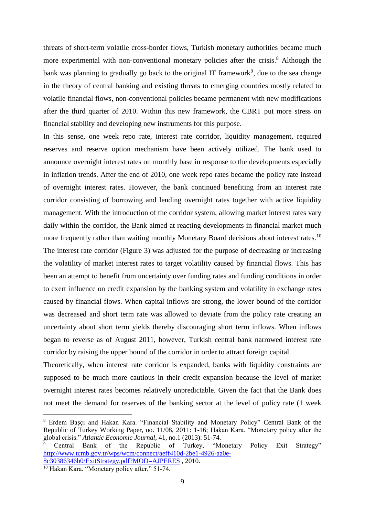threats of short-term volatile cross-border flows, Turkish monetary authorities became much more experimental with non-conventional monetary policies after the crisis.<sup>8</sup> Although the bank was planning to gradually go back to the original IT framework<sup>9</sup>, due to the sea change in the theory of central banking and existing threats to emerging countries mostly related to volatile financial flows, non-conventional policies became permanent with new modifications after the third quarter of 2010. Within this new framework, the CBRT put more stress on financial stability and developing new instruments for this purpose.

In this sense, one week repo rate, interest rate corridor, liquidity management, required reserves and reserve option mechanism have been actively utilized. The bank used to announce overnight interest rates on monthly base in response to the developments especially in inflation trends. After the end of 2010, one week repo rates became the policy rate instead of overnight interest rates. However, the bank continued benefiting from an interest rate corridor consisting of borrowing and lending overnight rates together with active liquidity management. With the introduction of the corridor system, allowing market interest rates vary daily within the corridor, the Bank aimed at reacting developments in financial market much more frequently rather than waiting monthly Monetary Board decisions about interest rates.<sup>10</sup> The interest rate corridor (Figure 3) was adjusted for the purpose of decreasing or increasing the volatility of market interest rates to target volatility caused by financial flows. This has been an attempt to benefit from uncertainty over funding rates and funding conditions in order to exert influence on credit expansion by the banking system and volatility in exchange rates caused by financial flows. When capital inflows are strong, the lower bound of the corridor was decreased and short term rate was allowed to deviate from the policy rate creating an uncertainty about short term yields thereby discouraging short term inflows. When inflows began to reverse as of August 2011, however, Turkish central bank narrowed interest rate corridor by raising the upper bound of the corridor in order to attract foreign capital.

Theoretically, when interest rate corridor is expanded, banks with liquidity constraints are supposed to be much more cautious in their credit expansion because the level of market overnight interest rates becomes relatively unpredictable. Given the fact that the Bank does not meet the demand for reserves of the banking sector at the level of policy rate (1 week

<sup>8</sup> Erdem Başçı and Hakan Kara. "Financial Stability and Monetary Policy" Central Bank of the Republic of Turkey Working Paper, no. 11/08, 2011: 1-16; Hakan Kara. "Monetary policy after the global crisis." *Atlantic Economic Journal*, 41, no.1 (2013): 51-74.<br><sup>9</sup> Central Bank of the Republic of Turkey, "M

<sup>9</sup> Central Bank of the Republic of Turkey, "Monetary Policy Exit Strategy" [http://www.tcmb.gov.tr/wps/wcm/connect/aeff410d-2be1-4926-aa0e-](http://www.tcmb.gov.tr/wps/wcm/connect/aeff410d-2be1-4926-aa0e-8c30386346b0/ExitStrategy.pdf?MOD=AJPERES)[8c30386346b0/ExitStrategy.pdf?MOD=AJPERES](http://www.tcmb.gov.tr/wps/wcm/connect/aeff410d-2be1-4926-aa0e-8c30386346b0/ExitStrategy.pdf?MOD=AJPERES) , 2010.

<sup>&</sup>lt;sup>10</sup> Hakan Kara. "Monetary policy after," 51-74.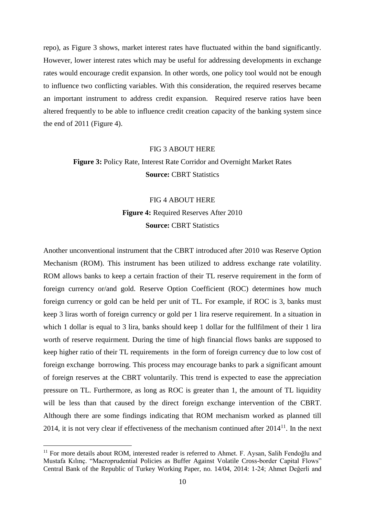repo), as Figure 3 shows, market interest rates have fluctuated within the band significantly. However, lower interest rates which may be useful for addressing developments in exchange rates would encourage credit expansion. In other words, one policy tool would not be enough to influence two conflicting variables. With this consideration, the required reserves became an important instrument to address credit expansion. Required reserve ratios have been altered frequently to be able to influence credit creation capacity of the banking system since the end of 2011 (Figure 4).

#### FIG 3 ABOUT HERE

# **Figure 3:** Policy Rate, Interest Rate Corridor and Overnight Market Rates **Source: CBRT Statistics**

# FIG 4 ABOUT HERE **Figure 4:** Required Reserves After 2010 **Source: CBRT Statistics**

Another unconventional instrument that the CBRT introduced after 2010 was Reserve Option Mechanism (ROM). This instrument has been utilized to address exchange rate volatility. ROM allows banks to keep a certain fraction of their TL reserve requirement in the form of foreign currency or/and gold. Reserve Option Coefficient (ROC) determines how much foreign currency or gold can be held per unit of TL. For example, if ROC is 3, banks must keep 3 liras worth of foreign currency or gold per 1 lira reserve requirement. In a situation in which 1 dollar is equal to 3 lira, banks should keep 1 dollar for the fullfilment of their 1 lira worth of reserve requirment. During the time of high financial flows banks are supposed to keep higher ratio of their TL requirements in the form of foreign currency due to low cost of foreign exchange borrowing. This process may encourage banks to park a significant amount of foreign reserves at the CBRT voluntarily. This trend is expected to ease the appreciation pressure on TL. Furthermore, as long as ROC is greater than 1, the amount of TL liquidity will be less than that caused by the direct foreign exchange intervention of the CBRT. Although there are some findings indicating that ROM mechanism worked as planned till 2014, it is not very clear if effectiveness of the mechanism continued after  $2014<sup>11</sup>$ . In the next

<u>.</u>

<sup>&</sup>lt;sup>11</sup> For more details about ROM, interested reader is referred to Ahmet. F. Aysan, Salih Fendoğlu and Mustafa Kılınç. "Macroprudential Policies as Buffer Against Volatile Cross-border Capital Flows" Central Bank of the Republic of Turkey Working Paper, no. 14/04, 2014: 1-24; Ahmet Değerli and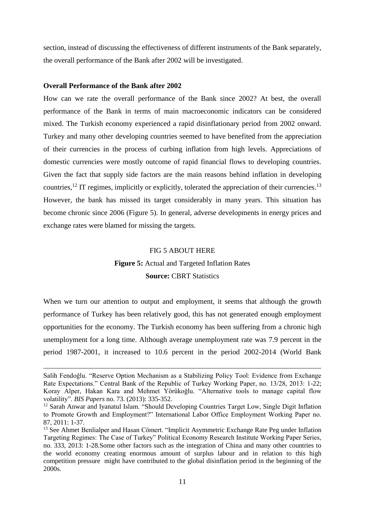section, instead of discussing the effectiveness of different instruments of the Bank separately, the overall performance of the Bank after 2002 will be investigated.

#### **Overall Performance of the Bank after 2002**

 $\overline{a}$ 

How can we rate the overall performance of the Bank since 2002? At best, the overall performance of the Bank in terms of main macroeconomic indicators can be considered mixed. The Turkish economy experienced a rapid disinflationary period from 2002 onward. Turkey and many other developing countries seemed to have benefited from the appreciation of their currencies in the process of curbing inflation from high levels. Appreciations of domestic currencies were mostly outcome of rapid financial flows to developing countries. Given the fact that supply side factors are the main reasons behind inflation in developing countries,<sup>12</sup> IT regimes, implicitly or explicitly, tolerated the appreciation of their currencies.<sup>13</sup> However, the bank has missed its target considerably in many years. This situation has become chronic since 2006 (Figure 5). In general, adverse developments in energy prices and exchange rates were blamed for missing the targets.

# FIG 5 ABOUT HERE

# **Figure 5:** Actual and Targeted Inflation Rates **Source: CBRT Statistics**

When we turn our attention to output and employment, it seems that although the growth performance of Turkey has been relatively good, this has not generated enough employment opportunities for the economy. The Turkish economy has been suffering from a chronic high unemployment for a long time. Although average unemployment rate was 7.9 percent in the period 1987-2001, it increased to 10.6 percent in the period 2002-2014 (World Bank

Salih Fendoğlu. "Reserve Option Mechanism as a Stabilizing Policy Tool: Evidence from Exchange Rate Expectations." Central Bank of the Republic of Turkey Working Paper, no. 13/28, 2013: 1-22; Koray Alper, Hakan Kara and Mehmet Yörükoğlu. "Alternative tools to manage capital flow volatility". *BIS Papers* no. 73. (2013): 335-352.

<sup>&</sup>lt;sup>12</sup> Sarah Anwar and Iyanatul Islam. "Should Developing Countries Target Low, Single Digit Inflation to Promote Growth and Employment?" International Labor Office Employment Working Paper no. 87, 2011: 1-37.

<sup>&</sup>lt;sup>13</sup> See Ahmet Benlialper and Hasan Cömert. "Implicit Asymmetric Exchange Rate Peg under Inflation Targeting Regimes: The Case of Turkey" Political Economy Research Institute Working Paper Series, no. 333, 2013: 1-28.Some other factors such as the integration of China and many other countries to the world economy creating enormous amount of surplus labour and in relation to this high competition pressure might have contributed to the global disinflation period in the beginning of the 2000s.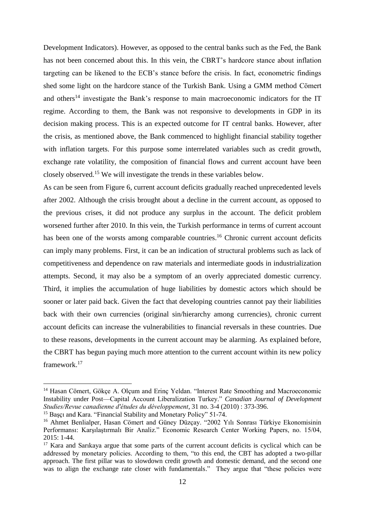Development Indicators). However, as opposed to the central banks such as the Fed, the Bank has not been concerned about this. In this vein, the CBRT's hardcore stance about inflation targeting can be likened to the ECB's stance before the crisis. In fact, econometric findings shed some light on the hardcore stance of the Turkish Bank. Using a GMM method Cömert and others<sup>14</sup> investigate the Bank's response to main macroeconomic indicators for the IT regime. According to them, the Bank was not responsive to developments in GDP in its decision making process. This is an expected outcome for IT central banks. However, after the crisis, as mentioned above, the Bank commenced to highlight financial stability together with inflation targets. For this purpose some interrelated variables such as credit growth, exchange rate volatility, the composition of financial flows and current account have been closely observed.<sup>15</sup> We will investigate the trends in these variables below.

As can be seen from Figure 6, current account deficits gradually reached unprecedented levels after 2002. Although the crisis brought about a decline in the current account, as opposed to the previous crises, it did not produce any surplus in the account. The deficit problem worsened further after 2010. In this vein, the Turkish performance in terms of current account has been one of the worsts among comparable countries.<sup>16</sup> Chronic current account deficits can imply many problems. First, it can be an indication of structural problems such as lack of competitiveness and dependence on raw materials and intermediate goods in industrialization attempts. Second, it may also be a symptom of an overly appreciated domestic currency. Third, it implies the accumulation of huge liabilities by domestic actors which should be sooner or later paid back. Given the fact that developing countries cannot pay their liabilities back with their own currencies (original sin/hierarchy among currencies), chronic current account deficits can increase the vulnerabilities to financial reversals in these countries. Due to these reasons, developments in the current account may be alarming. As explained before, the CBRT has begun paying much more attention to the current account within its new policy framework. 17

<sup>&</sup>lt;sup>14</sup> Hasan Cömert, Gökçe A. Olçum and Erinç Yeldan. "Interest Rate Smoothing and Macroeconomic Instability under Post—Capital Account Liberalization Turkey." *Canadian Journal of Development Studies/Revue canadienne d'études du développement*, 31 no. 3-4 (2010) : 373-396.

<sup>&</sup>lt;sup>15</sup> Basci and Kara. "Financial Stability and Monetary Policy" 51-74.

<sup>&</sup>lt;sup>16</sup> Ahmet Benlialper, Hasan Cömert and Güney Düzçay. "2002 Yılı Sonrası Türkiye Ekonomisinin Performansı: Karşılaştırmalı Bir Analiz." Economic Research Center Working Papers, no. 15/04, 2015: 1-44.

<sup>&</sup>lt;sup>17</sup> Kara and Sarıkaya argue that some parts of the current account deficits is cyclical which can be addressed by monetary policies. According to them, "to this end, the CBT has adopted a two-pillar approach. The first pillar was to slowdown credit growth and domestic demand, and the second one was to align the exchange rate closer with fundamentals." They argue that "these policies were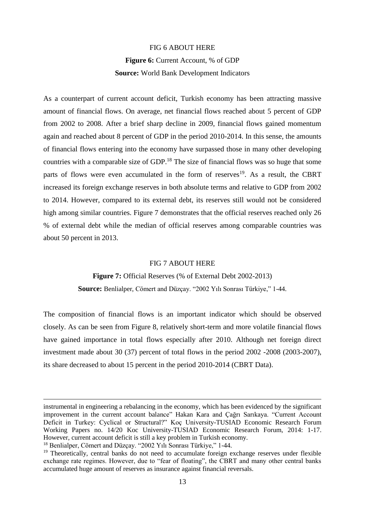# FIG 6 ABOUT HERE

# **Figure 6:** Current Account, % of GDP **Source:** World Bank Development Indicators

As a counterpart of current account deficit, Turkish economy has been attracting massive amount of financial flows. On average, net financial flows reached about 5 percent of GDP from 2002 to 2008. After a brief sharp decline in 2009, financial flows gained momentum again and reached about 8 percent of GDP in the period 2010-2014. In this sense, the amounts of financial flows entering into the economy have surpassed those in many other developing countries with a comparable size of GDP.<sup>18</sup> The size of financial flows was so huge that some parts of flows were even accumulated in the form of reserves<sup>19</sup>. As a result, the CBRT increased its foreign exchange reserves in both absolute terms and relative to GDP from 2002 to 2014. However, compared to its external debt, its reserves still would not be considered high among similar countries. Figure 7 demonstrates that the official reserves reached only 26 % of external debt while the median of official reserves among comparable countries was about 50 percent in 2013.

## FIG 7 ABOUT HERE

# **Figure 7:** Official Reserves (% of External Debt 2002-2013) **Source:** Benlialper, Cömert and Düzçay. "2002 Yılı Sonrası Türkiye," 1-44.

The composition of financial flows is an important indicator which should be observed closely. As can be seen from Figure 8, relatively short-term and more volatile financial flows have gained importance in total flows especially after 2010. Although net foreign direct investment made about 30 (37) percent of total flows in the period 2002 -2008 (2003-2007), its share decreased to about 15 percent in the period 2010-2014 (CBRT Data).

 $\overline{a}$ 

instrumental in engineering a rebalancing in the economy, which has been evidenced by the significant improvement in the current account balance" Hakan Kara and Çağrı Sarıkaya. "Current Account Deficit in Turkey: Cyclical or Structural?" Koç University-TUSIAD Economic Research Forum Working Papers no. 14/20 Koc University-TUSIAD Economic Research Forum, 2014: 1-17. However, current account deficit is still a key problem in Turkish economy.

<sup>18</sup> Benlialper, Cömert and Düzçay. "2002 Yılı Sonrası Türkiye," 1-44.

<sup>&</sup>lt;sup>19</sup> Theoretically, central banks do not need to accumulate foreign exchange reserves under flexible exchange rate regimes. However, due to "fear of floating", the CBRT and many other central banks accumulated huge amount of reserves as insurance against financial reversals.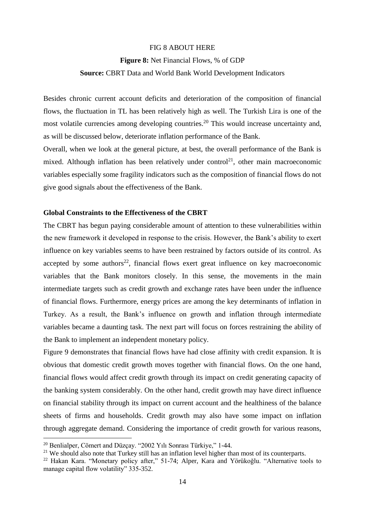### FIG 8 ABOUT HERE

#### **Figure 8:** Net Financial Flows, % of GDP

#### **Source:** CBRT Data and World Bank World Development Indicators

Besides chronic current account deficits and deterioration of the composition of financial flows, the fluctuation in TL has been relatively high as well. The Turkish Lira is one of the most volatile currencies among developing countries.<sup>20</sup> This would increase uncertainty and, as will be discussed below, deteriorate inflation performance of the Bank.

Overall, when we look at the general picture, at best, the overall performance of the Bank is mixed. Although inflation has been relatively under control<sup>21</sup>, other main macroeconomic variables especially some fragility indicators such as the composition of financial flows do not give good signals about the effectiveness of the Bank.

# **Global Constraints to the Effectiveness of the CBRT**

The CBRT has begun paying considerable amount of attention to these vulnerabilities within the new framework it developed in response to the crisis. However, the Bank's ability to exert influence on key variables seems to have been restrained by factors outside of its control. As accepted by some authors<sup>22</sup>, financial flows exert great influence on key macroeconomic variables that the Bank monitors closely. In this sense, the movements in the main intermediate targets such as credit growth and exchange rates have been under the influence of financial flows. Furthermore, energy prices are among the key determinants of inflation in Turkey. As a result, the Bank's influence on growth and inflation through intermediate variables became a daunting task. The next part will focus on forces restraining the ability of the Bank to implement an independent monetary policy.

Figure 9 demonstrates that financial flows have had close affinity with credit expansion. It is obvious that domestic credit growth moves together with financial flows. On the one hand, financial flows would affect credit growth through its impact on credit generating capacity of the banking system considerably. On the other hand, credit growth may have direct influence on financial stability through its impact on current account and the healthiness of the balance sheets of firms and households. Credit growth may also have some impact on inflation through aggregate demand. Considering the importance of credit growth for various reasons,

<sup>20</sup> Benlialper, Cömert and Düzçay. "2002 Yılı Sonrası Türkiye," 1-44.

 $21$  We should also note that Turkey still has an inflation level higher than most of its counterparts.

<sup>&</sup>lt;sup>22</sup> Hakan Kara. "Monetary policy after," 51-74; Alper, Kara and Yörükoğlu. "Alternative tools to manage capital flow volatility" 335-352.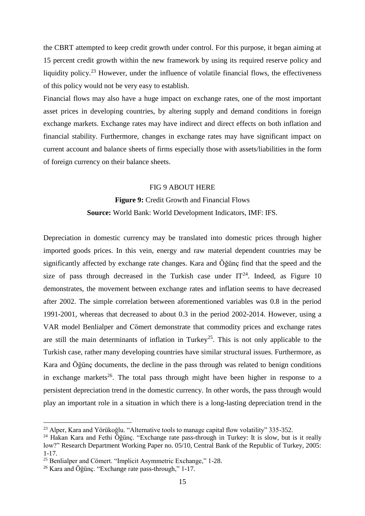the CBRT attempted to keep credit growth under control. For this purpose, it began aiming at 15 percent credit growth within the new framework by using its required reserve policy and liquidity policy.<sup>23</sup> However, under the influence of volatile financial flows, the effectiveness of this policy would not be very easy to establish.

Financial flows may also have a huge impact on exchange rates, one of the most important asset prices in developing countries, by altering supply and demand conditions in foreign exchange markets. Exchange rates may have indirect and direct effects on both inflation and financial stability. Furthermore, changes in exchange rates may have significant impact on current account and balance sheets of firms especially those with assets/liabilities in the form of foreign currency on their balance sheets.

#### FIG 9 ABOUT HERE

# **Figure 9:** Credit Growth and Financial Flows **Source:** World Bank: World Development Indicators, IMF: IFS.

Depreciation in domestic currency may be translated into domestic prices through higher imported goods prices. In this vein, energy and raw material dependent countries may be significantly affected by exchange rate changes. Kara and Öğünç find that the speed and the size of pass through decreased in the Turkish case under  $IT^{24}$ . Indeed, as Figure 10 demonstrates, the movement between exchange rates and inflation seems to have decreased after 2002. The simple correlation between aforementioned variables was 0.8 in the period 1991-2001, whereas that decreased to about 0.3 in the period 2002-2014. However, using a VAR model Benlialper and Cömert demonstrate that commodity prices and exchange rates are still the main determinants of inflation in Turkey<sup>25</sup>. This is not only applicable to the Turkish case, rather many developing countries have similar structural issues. Furthermore, as Kara and Öğünç documents, the decline in the pass through was related to benign conditions in exchange markets<sup>26</sup>. The total pass through might have been higher in response to a persistent depreciation trend in the domestic currency. In other words, the pass through would play an important role in a situation in which there is a long-lasting depreciation trend in the

<u>.</u>

<sup>&</sup>lt;sup>23</sup> Alper, Kara and Yörükoğlu. "Alternative tools to manage capital flow volatility" 335-352.

<sup>&</sup>lt;sup>24</sup> Hakan Kara and Fethi Öğünç. "Exchange rate pass-through in Turkey: It is slow, but is it really low?" Research Department Working Paper no. 05/10, Central Bank of the Republic of Turkey, 2005: 1-17.

<sup>25</sup> Benlialper and Cömert. "Implicit Asymmetric Exchange," 1-28.

<sup>26</sup> Kara and Öğünç. "Exchange rate pass-through," 1-17.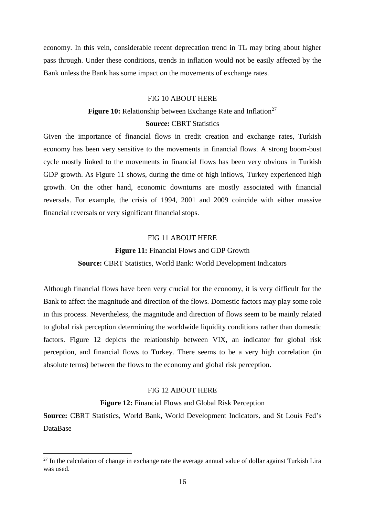economy. In this vein, considerable recent deprecation trend in TL may bring about higher pass through. Under these conditions, trends in inflation would not be easily affected by the Bank unless the Bank has some impact on the movements of exchange rates.

# FIG 10 ABOUT HERE

# **Figure 10:** Relationship between Exchange Rate and Inflation<sup>27</sup>

# **Source: CBRT Statistics**

Given the importance of financial flows in credit creation and exchange rates, Turkish economy has been very sensitive to the movements in financial flows. A strong boom-bust cycle mostly linked to the movements in financial flows has been very obvious in Turkish GDP growth. As Figure 11 shows, during the time of high inflows, Turkey experienced high growth. On the other hand, economic downturns are mostly associated with financial reversals. For example, the crisis of 1994, 2001 and 2009 coincide with either massive financial reversals or very significant financial stops.

# FIG 11 ABOUT HERE

## **Figure 11:** Financial Flows and GDP Growth

## **Source:** CBRT Statistics, World Bank: World Development Indicators

Although financial flows have been very crucial for the economy, it is very difficult for the Bank to affect the magnitude and direction of the flows. Domestic factors may play some role in this process. Nevertheless, the magnitude and direction of flows seem to be mainly related to global risk perception determining the worldwide liquidity conditions rather than domestic factors. Figure 12 depicts the relationship between VIX, an indicator for global risk perception, and financial flows to Turkey. There seems to be a very high correlation (in absolute terms) between the flows to the economy and global risk perception.

#### FIG 12 ABOUT HERE

# **Figure 12:** Financial Flows and Global Risk Perception

**Source:** CBRT Statistics, World Bank, World Development Indicators, and St Louis Fed's DataBase

<u>.</u>

 $27$  In the calculation of change in exchange rate the average annual value of dollar against Turkish Lira was used.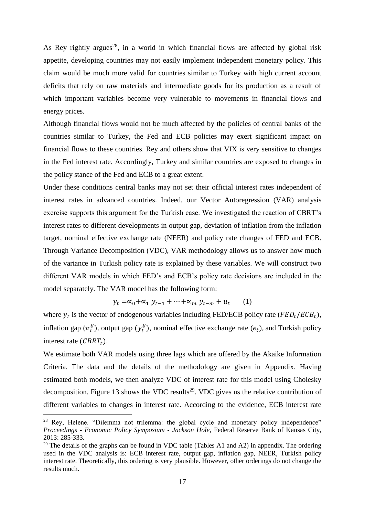As Rey rightly argues<sup>28</sup>, in a world in which financial flows are affected by global risk appetite, developing countries may not easily implement independent monetary policy. This claim would be much more valid for countries similar to Turkey with high current account deficits that rely on raw materials and intermediate goods for its production as a result of which important variables become very vulnerable to movements in financial flows and energy prices.

Although financial flows would not be much affected by the policies of central banks of the countries similar to Turkey, the Fed and ECB policies may exert significant impact on financial flows to these countries. Rey and others show that VIX is very sensitive to changes in the Fed interest rate. Accordingly, Turkey and similar countries are exposed to changes in the policy stance of the Fed and ECB to a great extent.

Under these conditions central banks may not set their official interest rates independent of interest rates in advanced countries. Indeed, our Vector Autoregression (VAR) analysis exercise supports this argument for the Turkish case. We investigated the reaction of CBRT's interest rates to different developments in output gap, deviation of inflation from the inflation target, nominal effective exchange rate (NEER) and policy rate changes of FED and ECB. Through Variance Decomposition (VDC), VAR methodology allows us to answer how much of the variance in Turkish policy rate is explained by these variables. We will construct two different VAR models in which FED's and ECB's policy rate decisions are included in the model separately. The VAR model has the following form:

> $y_t = \alpha_0 + \alpha_1 y_{t-1} + \cdots + \alpha_m y_{t-m} + u_t$ (1)

where  $y_t$  is the vector of endogenous variables including FED/ECB policy rate ( $FED_t/ECB_t$ ), inflation gap  $(\pi_t^g)$ , output gap  $(y_t^g)$ , nominal effective exchange rate  $(e_t)$ , and Turkish policy interest rate  $(CBRT_t)$ .

We estimate both VAR models using three lags which are offered by the Akaike Information Criteria. The data and the details of the methodology are given in Appendix. Having estimated both models, we then analyze VDC of interest rate for this model using Cholesky decomposition. Figure 13 shows the VDC results<sup>29</sup>. VDC gives us the relative contribution of different variables to changes in interest rate. According to the evidence, ECB interest rate

<sup>&</sup>lt;sup>28</sup> Rey, Helene. "Dilemma not trilemma: the global cycle and monetary policy independence" *Proceedings - Economic Policy Symposium - Jackson Hole*, Federal Reserve Bank of Kansas City, 2013: 285-333.

 $29$  The details of the graphs can be found in VDC table (Tables A1 and A2) in appendix. The ordering used in the VDC analysis is: ECB interest rate, output gap, inflation gap, NEER, Turkish policy interest rate. Theoretically, this ordering is very plausible. However, other orderings do not change the results much.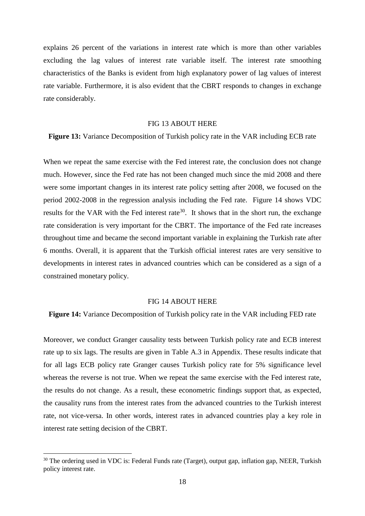explains 26 percent of the variations in interest rate which is more than other variables excluding the lag values of interest rate variable itself. The interest rate smoothing characteristics of the Banks is evident from high explanatory power of lag values of interest rate variable. Furthermore, it is also evident that the CBRT responds to changes in exchange rate considerably.

#### FIG 13 ABOUT HERE

**Figure 13:** Variance Decomposition of Turkish policy rate in the VAR including ECB rate

When we repeat the same exercise with the Fed interest rate, the conclusion does not change much. However, since the Fed rate has not been changed much since the mid 2008 and there were some important changes in its interest rate policy setting after 2008, we focused on the period 2002-2008 in the regression analysis including the Fed rate. Figure 14 shows VDC results for the VAR with the Fed interest rate<sup>30</sup>. It shows that in the short run, the exchange rate consideration is very important for the CBRT. The importance of the Fed rate increases throughout time and became the second important variable in explaining the Turkish rate after 6 months. Overall, it is apparent that the Turkish official interest rates are very sensitive to developments in interest rates in advanced countries which can be considered as a sign of a constrained monetary policy.

#### FIG 14 ABOUT HERE

**Figure 14:** Variance Decomposition of Turkish policy rate in the VAR including FED rate

Moreover, we conduct Granger causality tests between Turkish policy rate and ECB interest rate up to six lags. The results are given in Table A.3 in Appendix. These results indicate that for all lags ECB policy rate Granger causes Turkish policy rate for 5% significance level whereas the reverse is not true. When we repeat the same exercise with the Fed interest rate, the results do not change. As a result, these econometric findings support that, as expected, the causality runs from the interest rates from the advanced countries to the Turkish interest rate, not vice-versa. In other words, interest rates in advanced countries play a key role in interest rate setting decision of the CBRT.

<u>.</u>

<sup>&</sup>lt;sup>30</sup> The ordering used in VDC is: Federal Funds rate (Target), output gap, inflation gap, NEER, Turkish policy interest rate.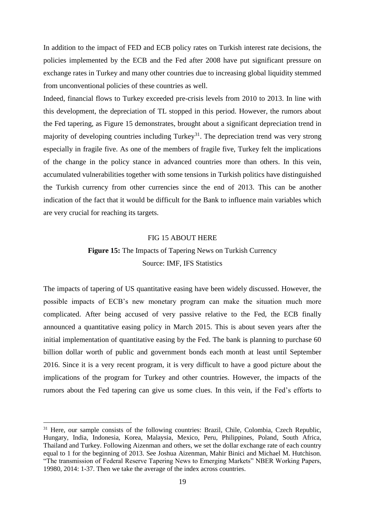In addition to the impact of FED and ECB policy rates on Turkish interest rate decisions, the policies implemented by the ECB and the Fed after 2008 have put significant pressure on exchange rates in Turkey and many other countries due to increasing global liquidity stemmed from unconventional policies of these countries as well.

Indeed, financial flows to Turkey exceeded pre-crisis levels from 2010 to 2013. In line with this development, the depreciation of TL stopped in this period. However, the rumors about the Fed tapering, as Figure 15 demonstrates, brought about a significant depreciation trend in majority of developing countries including Turkey<sup>31</sup>. The depreciation trend was very strong especially in fragile five. As one of the members of fragile five, Turkey felt the implications of the change in the policy stance in advanced countries more than others. In this vein, accumulated vulnerabilities together with some tensions in Turkish politics have distinguished the Turkish currency from other currencies since the end of 2013. This can be another indication of the fact that it would be difficult for the Bank to influence main variables which are very crucial for reaching its targets.

## FIG 15 ABOUT HERE

# **Figure 15:** The Impacts of Tapering News on Turkish Currency Source: IMF, IFS Statistics

The impacts of tapering of US quantitative easing have been widely discussed. However, the possible impacts of ECB's new monetary program can make the situation much more complicated. After being accused of very passive relative to the Fed, the ECB finally announced a quantitative easing policy in March 2015. This is about seven years after the initial implementation of quantitative easing by the Fed. The bank is planning to purchase 60 billion dollar worth of public and government bonds each month at least until September 2016. Since it is a very recent program, it is very difficult to have a good picture about the implications of the program for Turkey and other countries. However, the impacts of the rumors about the Fed tapering can give us some clues. In this vein, if the Fed's efforts to

<u>.</u>

<sup>&</sup>lt;sup>31</sup> Here, our sample consists of the following countries: Brazil, Chile, Colombia, Czech Republic, Hungary, India, Indonesia, Korea, Malaysia, Mexico, Peru, Philippines, Poland, South Africa, Thailand and Turkey. Following Aizenman and others, we set the dollar exchange rate of each country equal to 1 for the beginning of 2013. See Joshua Aizenman, Mahir Binici and Michael M. Hutchison. "The transmission of Federal Reserve Tapering News to Emerging Markets" NBER Working Papers, 19980, 2014: 1-37. Then we take the average of the index across countries.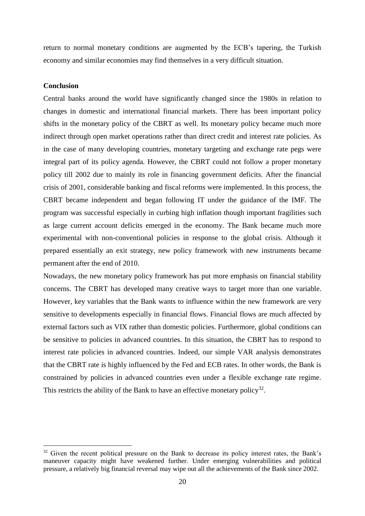return to normal monetary conditions are augmented by the ECB's tapering, the Turkish economy and similar economies may find themselves in a very difficult situation.

## **Conclusion**

<u>.</u>

Central banks around the world have significantly changed since the 1980s in relation to changes in domestic and international financial markets. There has been important policy shifts in the monetary policy of the CBRT as well. Its monetary policy became much more indirect through open market operations rather than direct credit and interest rate policies. As in the case of many developing countries, monetary targeting and exchange rate pegs were integral part of its policy agenda. However, the CBRT could not follow a proper monetary policy till 2002 due to mainly its role in financing government deficits. After the financial crisis of 2001, considerable banking and fiscal reforms were implemented. In this process, the CBRT became independent and began following IT under the guidance of the IMF. The program was successful especially in curbing high inflation though important fragilities such as large current account deficits emerged in the economy. The Bank became much more experimental with non-conventional policies in response to the global crisis. Although it prepared essentially an exit strategy, new policy framework with new instruments became permanent after the end of 2010.

Nowadays, the new monetary policy framework has put more emphasis on financial stability concerns. The CBRT has developed many creative ways to target more than one variable. However, key variables that the Bank wants to influence within the new framework are very sensitive to developments especially in financial flows. Financial flows are much affected by external factors such as VIX rather than domestic policies. Furthermore, global conditions can be sensitive to policies in advanced countries. In this situation, the CBRT has to respond to interest rate policies in advanced countries. Indeed, our simple VAR analysis demonstrates that the CBRT rate is highly influenced by the Fed and ECB rates. In other words, the Bank is constrained by policies in advanced countries even under a flexible exchange rate regime. This restricts the ability of the Bank to have an effective monetary policy<sup>32</sup>.

 $32$  Given the recent political pressure on the Bank to decrease its policy interest rates, the Bank's maneuver capacity might have weakened further. Under emerging vulnerabilities and political pressure, a relatively big financial reversal may wipe out all the achievements of the Bank since 2002.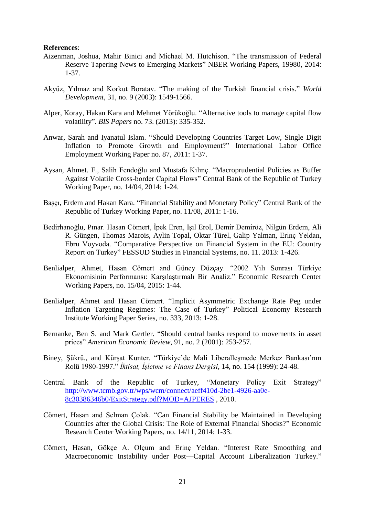#### **References**:

- Aizenman, Joshua, Mahir Binici and Michael M. Hutchison. "The transmission of Federal Reserve Tapering News to Emerging Markets" NBER Working Papers, 19980, 2014: 1-37.
- Akyüz, Yılmaz and Korkut Boratav. "The making of the Turkish financial crisis." *World Development*, 31, no. 9 (2003): 1549-1566.
- Alper, Koray, Hakan Kara and Mehmet Yörükoğlu. "Alternative tools to manage capital flow volatility". *BIS Papers* no. 73. (2013): 335-352.
- Anwar, Sarah and Iyanatul Islam. "Should Developing Countries Target Low, Single Digit Inflation to Promote Growth and Employment?" International Labor Office Employment Working Paper no. 87, 2011: 1-37.
- Aysan, Ahmet. F., Salih Fendoğlu and Mustafa Kılınç. "Macroprudential Policies as Buffer Against Volatile Cross-border Capital Flows" Central Bank of the Republic of Turkey Working Paper, no. 14/04, 2014: 1-24.
- Başçı, Erdem and Hakan Kara. "Financial Stability and Monetary Policy" Central Bank of the Republic of Turkey Working Paper, no. 11/08, 2011: 1-16.
- Bedirhanoğlu, Pınar. Hasan Cömert, İpek Eren, Işıl Erol, Demir Demiröz, Nilgün Erdem, Ali R. Güngen, Thomas Marois, Aylin Topal, Oktar Türel, Galip Yalman, Erinç Yeldan, Ebru Voyvoda. "Comparative Perspective on Financial System in the EU: Country Report on Turkey" FESSUD Studies in Financial Systems, no. 11. 2013: 1-426.
- Benlialper, Ahmet, Hasan Cömert and Güney Düzçay. "2002 Yılı Sonrası Türkiye Ekonomisinin Performansı: Karşılaştırmalı Bir Analiz." Economic Research Center Working Papers, no. 15/04, 2015: 1-44.
- Benlialper, Ahmet and Hasan Cömert. "Implicit Asymmetric Exchange Rate Peg under Inflation Targeting Regimes: The Case of Turkey" Political Economy Research Institute Working Paper Series, no. 333, 2013: 1-28.
- Bernanke, Ben S. and Mark Gertler. "Should central banks respond to movements in asset prices" *American Economic Review*, 91, no. 2 (2001): 253-257.
- Biney, Şükrü., and Kürşat Kunter. "Türkiye'de Mali Liberalleşmede Merkez Bankası'nın Rolü 1980-1997." *İktisat, İşletme ve Finans Dergisi*, 14, no. 154 (1999): 24-48.
- Central Bank of the Republic of Turkey, "Monetary Policy Exit Strategy" [http://www.tcmb.gov.tr/wps/wcm/connect/aeff410d-2be1-4926-aa0e-](http://www.tcmb.gov.tr/wps/wcm/connect/aeff410d-2be1-4926-aa0e-8c30386346b0/ExitStrategy.pdf?MOD=AJPERES)[8c30386346b0/ExitStrategy.pdf?MOD=AJPERES](http://www.tcmb.gov.tr/wps/wcm/connect/aeff410d-2be1-4926-aa0e-8c30386346b0/ExitStrategy.pdf?MOD=AJPERES) , 2010.
- Cömert, Hasan and Selman Çolak. "Can Financial Stability be Maintained in Developing Countries after the Global Crisis: The Role of External Financial Shocks?" Economic Research Center Working Papers, no. 14/11, 2014: 1-33.
- Cömert, Hasan, Gökçe A. Olçum and Erinç Yeldan. "Interest Rate Smoothing and Macroeconomic Instability under Post—Capital Account Liberalization Turkey."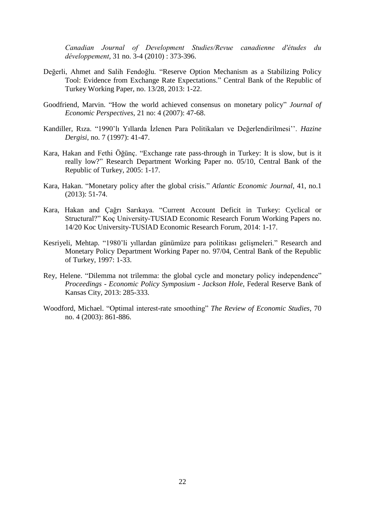*Canadian Journal of Development Studies/Revue canadienne d'études du développement*, 31 no. 3-4 (2010) : 373-396.

- Değerli, Ahmet and Salih Fendoğlu. "Reserve Option Mechanism as a Stabilizing Policy Tool: Evidence from Exchange Rate Expectations." Central Bank of the Republic of Turkey Working Paper, no. 13/28, 2013: 1-22.
- Goodfriend, Marvin. "How the world achieved consensus on monetary policy" *Journal of Economic Perspectives*, 21 no: 4 (2007): 47-68.
- Kandiller, Rıza. "1990'lı Yıllarda İzlenen Para Politikaları ve Değerlendirilmesi''. *Hazine Dergisi*, no. 7 (1997): 41-47.
- Kara, Hakan and Fethi Öğünç. "Exchange rate pass-through in Turkey: It is slow, but is it really low?" Research Department Working Paper no. 05/10, Central Bank of the Republic of Turkey, 2005: 1-17.
- Kara, Hakan. "Monetary policy after the global crisis." *Atlantic Economic Journal*, 41, no.1 (2013): 51-74.
- Kara, Hakan and Çağrı Sarıkaya. "Current Account Deficit in Turkey: Cyclical or Structural?" Koç University-TUSIAD Economic Research Forum Working Papers no. 14/20 Koc University-TUSIAD Economic Research Forum, 2014: 1-17.
- Kesriyeli, Mehtap. "1980'li yıllardan günümüze para politikası gelişmeleri." Research and Monetary Policy Department Working Paper no. 97/04, Central Bank of the Republic of Turkey, 1997: 1-33.
- Rey, Helene. "Dilemma not trilemma: the global cycle and monetary policy independence" *Proceedings - Economic Policy Symposium - Jackson Hole*, Federal Reserve Bank of Kansas City, 2013: 285-333.
- Woodford, Michael. "Optimal interest-rate smoothing" *The Review of Economic Studies*, 70 no. 4 (2003): 861-886.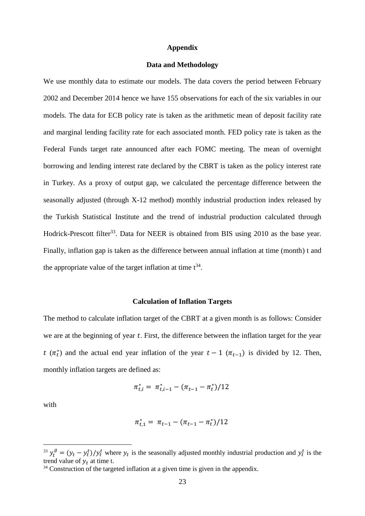#### **Appendix**

#### **Data and Methodology**

We use monthly data to estimate our models. The data covers the period between February 2002 and December 2014 hence we have 155 observations for each of the six variables in our models. The data for ECB policy rate is taken as the arithmetic mean of deposit facility rate and marginal lending facility rate for each associated month. FED policy rate is taken as the Federal Funds target rate announced after each FOMC meeting. The mean of overnight borrowing and lending interest rate declared by the CBRT is taken as the policy interest rate in Turkey. As a proxy of output gap, we calculated the percentage difference between the seasonally adjusted (through X-12 method) monthly industrial production index released by the Turkish Statistical Institute and the trend of industrial production calculated through Hodrick-Prescott filter<sup>33</sup>. Data for NEER is obtained from BIS using 2010 as the base year. Finally, inflation gap is taken as the difference between annual inflation at time (month) t and the appropriate value of the target inflation at time  $t^{34}$ .

#### **Calculation of Inflation Targets**

The method to calculate inflation target of the CBRT at a given month is as follows: Consider we are at the beginning of year  $t$ . First, the difference between the inflation target for the year  $t(\pi_t^*)$  and the actual end year inflation of the year  $t-1(\pi_{t-1})$  is divided by 12. Then, monthly inflation targets are defined as:

$$
\pi_{t,i}^* = \pi_{t,i-1}^* - (\pi_{t-1} - \pi_t^*)/12
$$

with

$$
\pi_{t,1}^* = \pi_{t-1} - (\pi_{t-1} - \pi_t^*)/12
$$

<sup>&</sup>lt;sup>33</sup>  $y_t^g = (y_t - y_t^t)/y_t^t$  where  $y_t$  is the seasonally adjusted monthly industrial production and  $y_t^t$  is the trend value of  $y_t$  at time t.

<sup>&</sup>lt;sup>34</sup> Construction of the targeted inflation at a given time is given in the appendix.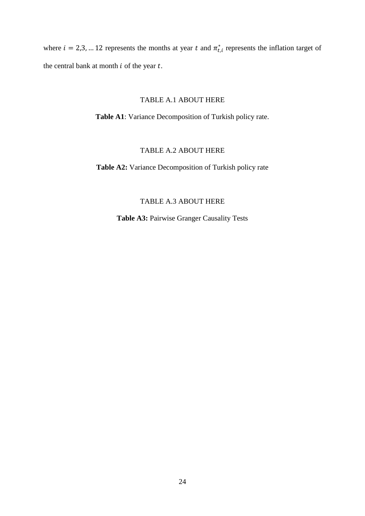where  $i = 2,3,... 12$  represents the months at year t and  $\pi_{t,i}^*$  represents the inflation target of the central bank at month  $i$  of the year  $t$ .

# TABLE A.1 ABOUT HERE

**Table A1**: Variance Decomposition of Turkish policy rate.

# TABLE A.2 ABOUT HERE

**Table A2:** Variance Decomposition of Turkish policy rate

# TABLE A.3 ABOUT HERE

**Table A3:** Pairwise Granger Causality Tests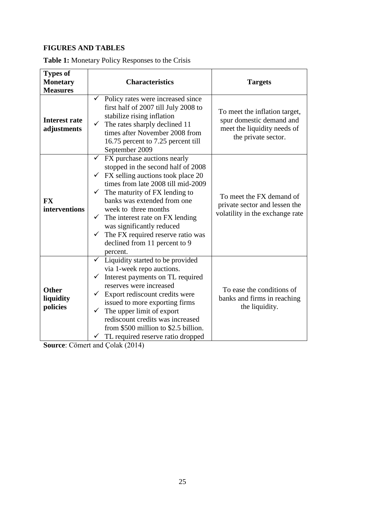# **FIGURES AND TABLES**

| <b>Types of</b><br><b>Monetary</b><br><b>Measures</b> | <b>Characteristics</b>                                                                                                                                                                                                                                                                                                                                                                                                                                           | <b>Targets</b>                                                                                                  |
|-------------------------------------------------------|------------------------------------------------------------------------------------------------------------------------------------------------------------------------------------------------------------------------------------------------------------------------------------------------------------------------------------------------------------------------------------------------------------------------------------------------------------------|-----------------------------------------------------------------------------------------------------------------|
| <b>Interest rate</b><br>adjustments                   | $\checkmark$<br>Policy rates were increased since<br>first half of 2007 till July 2008 to<br>stabilize rising inflation<br>$\checkmark$ The rates sharply declined 11<br>times after November 2008 from<br>16.75 percent to 7.25 percent till<br>September 2009                                                                                                                                                                                                  | To meet the inflation target,<br>spur domestic demand and<br>meet the liquidity needs of<br>the private sector. |
| <b>FX</b><br>interventions                            | FX purchase auctions nearly<br>$\checkmark$<br>stopped in the second half of 2008<br>FX selling auctions took place 20<br>$\checkmark$<br>times from late 2008 till mid-2009<br>$\checkmark$ The maturity of FX lending to<br>banks was extended from one<br>week to three months<br>$\checkmark$ The interest rate on FX lending<br>was significantly reduced<br>The FX required reserve ratio was<br>$\checkmark$<br>declined from 11 percent to 9<br>percent. | To meet the FX demand of<br>private sector and lessen the<br>volatility in the exchange rate                    |
| <b>Other</b><br>liquidity<br>policies                 | $\checkmark$ Liquidity started to be provided<br>via 1-week repo auctions.<br>Interest payments on TL required<br>$\checkmark$<br>reserves were increased<br>Export rediscount credits were<br>$\checkmark$<br>issued to more exporting firms<br>The upper limit of export<br>✓<br>rediscount credits was increased<br>from \$500 million to \$2.5 billion.<br>TL required reserve ratio dropped                                                                 | To ease the conditions of<br>banks and firms in reaching<br>the liquidity.                                      |

**Source**: Cömert and Çolak (2014)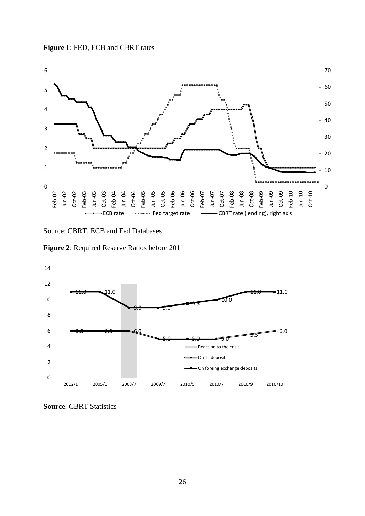



Source: CBRT, ECB and Fed Databases





**Source**: CBRT Statistics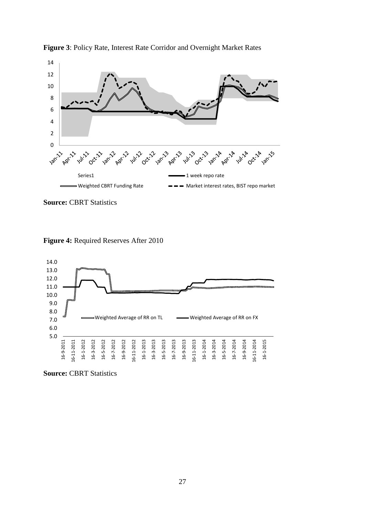



**Source:** CBRT Statistics

**Figure 4:** Required Reserves After 2010



**Source:** CBRT Statistics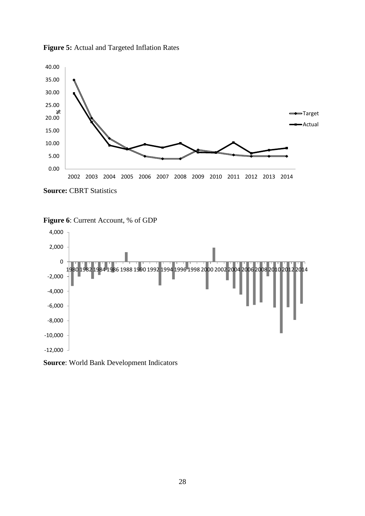**Figure 5:** Actual and Targeted Inflation Rates



**Source:** CBRT Statistics





**Source**: World Bank Development Indicators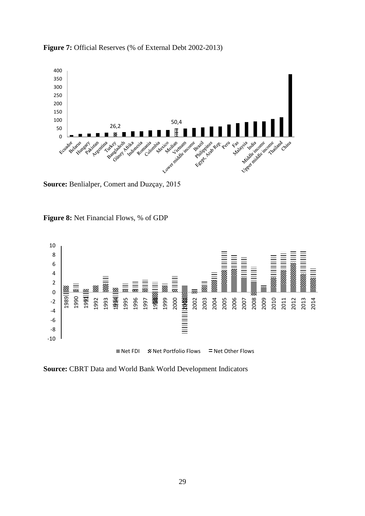

**Figure 7:** Official Reserves (% of External Debt 2002-2013)

**Source:** Benlialper, Comert and Duzçay, 2015





**Source:** CBRT Data and World Bank World Development Indicators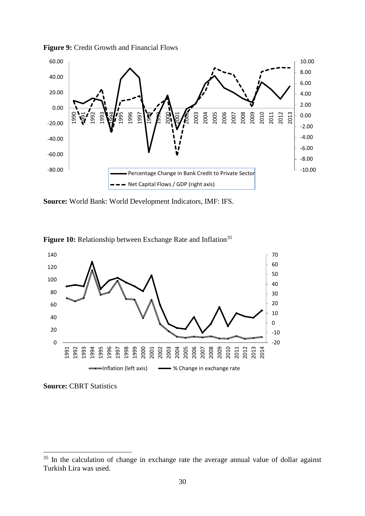

**Figure 9:** Credit Growth and Financial Flows

**Source:** World Bank: World Development Indicators, IMF: IFS.

![](_page_29_Figure_3.jpeg)

![](_page_29_Figure_4.jpeg)

**Source:** CBRT Statistics

 In the calculation of change in exchange rate the average annual value of dollar against Turkish Lira was used.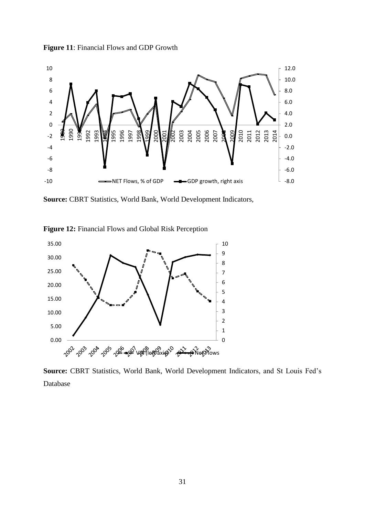![](_page_30_Figure_0.jpeg)

![](_page_30_Figure_1.jpeg)

**Source:** CBRT Statistics, World Bank, World Development Indicators,

![](_page_30_Figure_3.jpeg)

![](_page_30_Figure_4.jpeg)

**Source:** CBRT Statistics, World Bank, World Development Indicators, and St Louis Fed's Database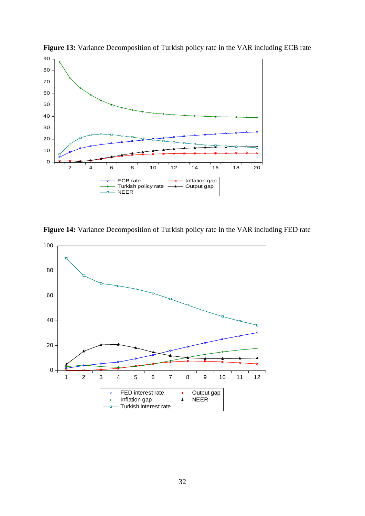![](_page_31_Figure_0.jpeg)

**Figure 13:** Variance Decomposition of Turkish policy rate in the VAR including ECB rate

**Figure 14:** Variance Decomposition of Turkish policy rate in the VAR including FED rate

![](_page_31_Figure_3.jpeg)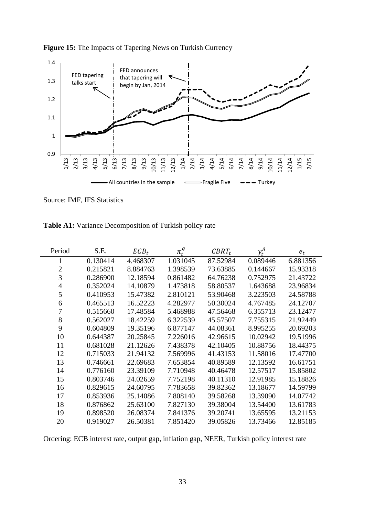![](_page_32_Figure_0.jpeg)

**Figure 15:** The Impacts of Tapering News on Turkish Currency

Source: IMF, IFS Statistics

| Table A1: Variance Decomposition of Turkish policy rate |  |  |
|---------------------------------------------------------|--|--|
|---------------------------------------------------------|--|--|

| Period         | S.E.     | $ECB_t$  | $\pi^g_{\scriptscriptstyle{t}}$ | $CBRT_t$ | $y_t^g$  | $e_t$    |
|----------------|----------|----------|---------------------------------|----------|----------|----------|
| 1              | 0.130414 | 4.468307 | 1.031045                        | 87.52984 | 0.089446 | 6.881356 |
| $\overline{2}$ | 0.215821 | 8.884763 | 1.398539                        | 73.63885 | 0.144667 | 15.93318 |
| 3              | 0.286900 | 12.18594 | 0.861482                        | 64.76238 | 0.752975 | 21.43722 |
| 4              | 0.352024 | 14.10879 | 1.473818                        | 58.80537 | 1.643688 | 23.96834 |
| 5              | 0.410953 | 15.47382 | 2.810121                        | 53.90468 | 3.223503 | 24.58788 |
| 6              | 0.465513 | 16.52223 | 4.282977                        | 50.30024 | 4.767485 | 24.12707 |
| 7              | 0.515660 | 17.48584 | 5.468988                        | 47.56468 | 6.355713 | 23.12477 |
| 8              | 0.562027 | 18.42259 | 6.322539                        | 45.57507 | 7.755315 | 21.92449 |
| 9              | 0.604809 | 19.35196 | 6.877147                        | 44.08361 | 8.995255 | 20.69203 |
| 10             | 0.644387 | 20.25845 | 7.226016                        | 42.96615 | 10.02942 | 19.51996 |
| 11             | 0.681028 | 21.12626 | 7.438378                        | 42.10405 | 10.88756 | 18.44375 |
| 12             | 0.715033 | 21.94132 | 7.569996                        | 41.43153 | 11.58016 | 17.47700 |
| 13             | 0.746661 | 22.69683 | 7.653854                        | 40.89589 | 12.13592 | 16.61751 |
| 14             | 0.776160 | 23.39109 | 7.710948                        | 40.46478 | 12.57517 | 15.85802 |
| 15             | 0.803746 | 24.02659 | 7.752198                        | 40.11310 | 12.91985 | 15.18826 |
| 16             | 0.829615 | 24.60795 | 7.783658                        | 39.82362 | 13.18677 | 14.59799 |
| 17             | 0.853936 | 25.14086 | 7.808140                        | 39.58268 | 13.39090 | 14.07742 |
| 18             | 0.876862 | 25.63100 | 7.827130                        | 39.38004 | 13.54400 | 13.61783 |
| 19             | 0.898520 | 26.08374 | 7.841376                        | 39.20741 | 13.65595 | 13.21153 |
| 20             | 0.919027 | 26.50381 | 7.851420                        | 39.05826 | 13.73466 | 12.85185 |

Ordering: ECB interest rate, output gap, inflation gap, NEER, Turkish policy interest rate